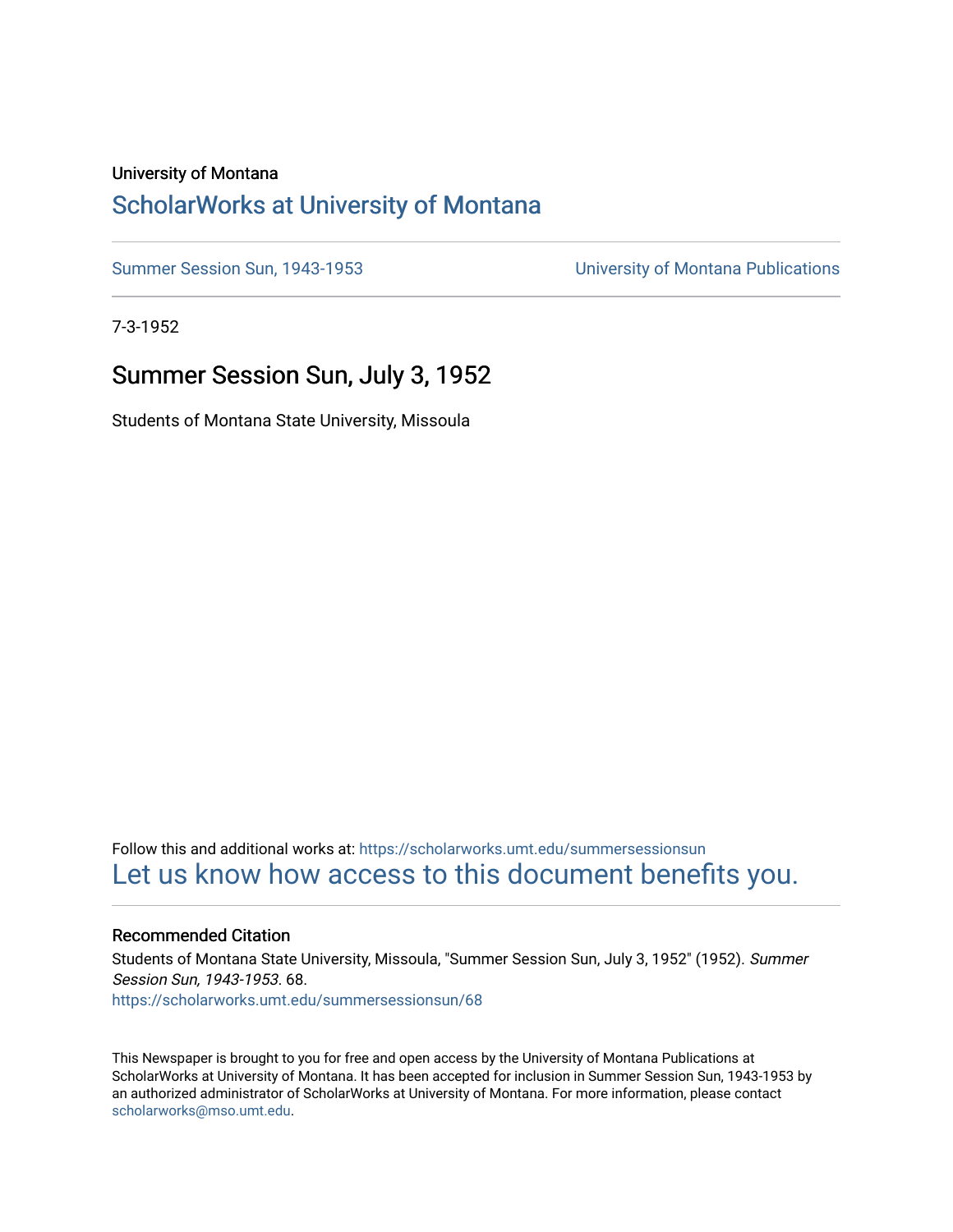### University of Montana

# [ScholarWorks at University of Montana](https://scholarworks.umt.edu/)

[Summer Session Sun, 1943-1953](https://scholarworks.umt.edu/summersessionsun) [University of Montana Publications](https://scholarworks.umt.edu/umpubs) 

7-3-1952

# Summer Session Sun, July 3, 1952

Students of Montana State University, Missoula

Follow this and additional works at: [https://scholarworks.umt.edu/summersessionsun](https://scholarworks.umt.edu/summersessionsun?utm_source=scholarworks.umt.edu%2Fsummersessionsun%2F68&utm_medium=PDF&utm_campaign=PDFCoverPages)  [Let us know how access to this document benefits you.](https://goo.gl/forms/s2rGfXOLzz71qgsB2) 

### Recommended Citation

Students of Montana State University, Missoula, "Summer Session Sun, July 3, 1952" (1952). Summer Session Sun, 1943-1953. 68. [https://scholarworks.umt.edu/summersessionsun/68](https://scholarworks.umt.edu/summersessionsun/68?utm_source=scholarworks.umt.edu%2Fsummersessionsun%2F68&utm_medium=PDF&utm_campaign=PDFCoverPages)

This Newspaper is brought to you for free and open access by the University of Montana Publications at ScholarWorks at University of Montana. It has been accepted for inclusion in Summer Session Sun, 1943-1953 by an authorized administrator of ScholarWorks at University of Montana. For more information, please contact [scholarworks@mso.umt.edu.](mailto:scholarworks@mso.umt.edu)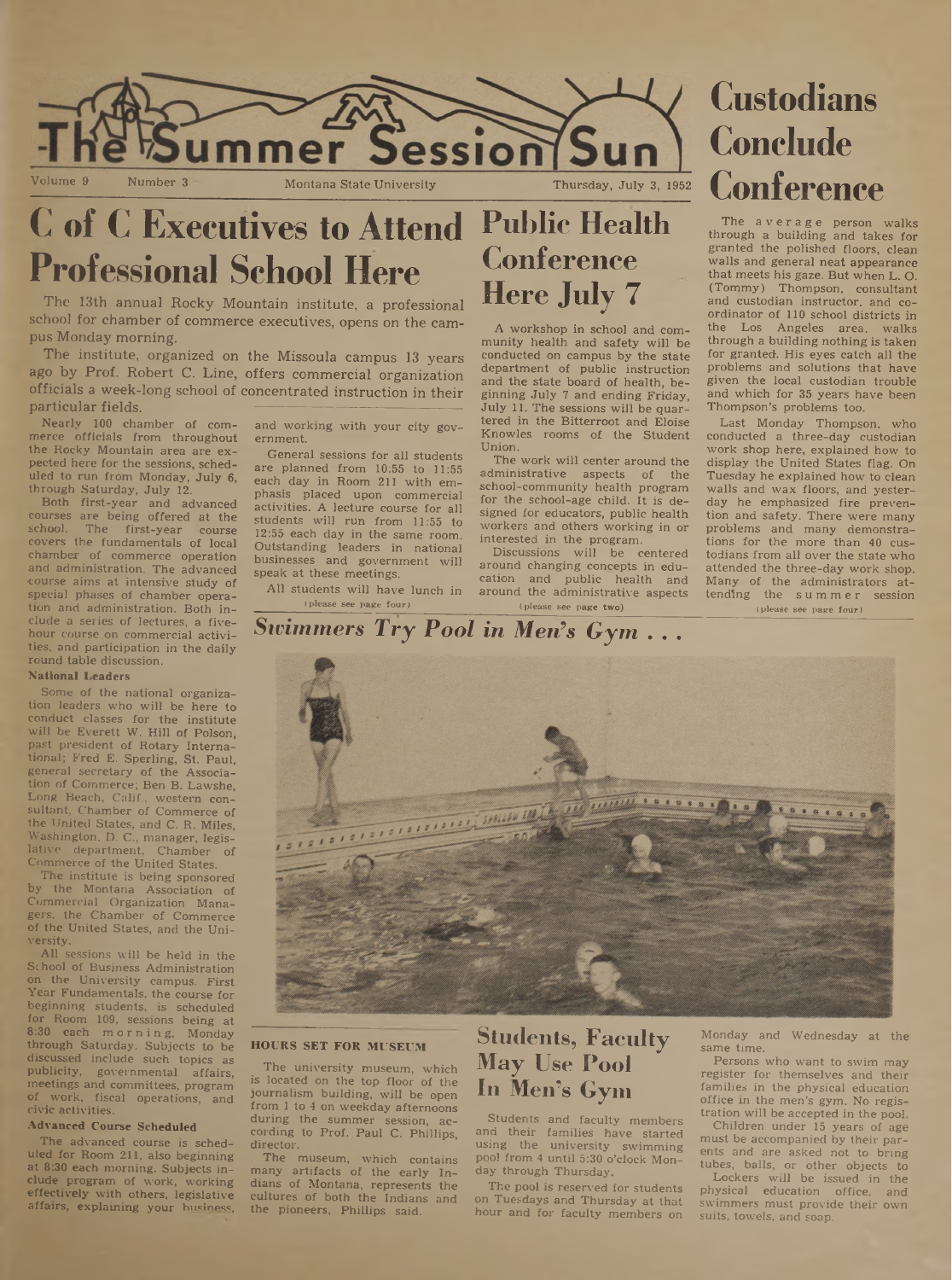

# **C of C Executives to Attend Public Health Professional School Here**

The 13th annual Rocky Mountain institute, a professional school for chamber of commerce executives, opens on the campus Monday morning.

The institute, organized on the Missoula campus 13 years ago by Prof. Robert C. Line, offers commercial organization officials a week-long school of concentrated instruction in their particular fields.

Nearly 100 chamber of commerce officials from throughout the Rocky Mountain area are expected here for the sessions, scheduled to run from Monday, July 6, through Saturday, July 12.

Both first-year and advanced courses are being offered at the school. The first-year course covers the fundamentals of local chamber of commerce operation and administration. The advanced •course aims at intensive study of special phases of chamber operation and administration. Both inelude a series of lectures, a fivehour course on commercial activities, and participation in the daily round table discussion.

#### **National Leaders**

Some of the national organization leaders who will be here to conduct classes for the institute will be Everett W. Hill of Polson, past president of Rotary International; Fred E. Sperling, St. Paul, general secretary of the Association of Commerce; Ben B. Lawshe, Long Beach, Calif., western consultant, Chamber of Commerce of the United States, and C. R. Miles, Washington, D. C., manager, legislative department, Chamber of Commerce of the United States.

The institute is being sponsored the Montana Association of Commercial Organization Managers, the Chamber of Commerce of the United States, and the University.

All sessions will be held in the School of Business Administration on the University campus. First Year Fundamentals, the course for beginning students, is scheduled for Room 109, sessions being at 8:30 each morning, Monday through Saturday. Subjects to be discussed include such topics as publicity, governmental affairs, meetings and committees, program of work, fiscal operations, and civic activities.

#### **Advanced Course Scheduled**

The advanced course is scheduled for Room 211, also beginning at 8:30 each morning. Subjects include program of work, working effectively with others, legislative affairs, explaining your husiness, and working with your city government.

General sessions for all students are planned from 10:55 to 11:55 each day in Room 211 with emphasis placed upon commercial activities. A lecture course for all students will run from 11:55 to 12:55 each day in the same room. Outstanding leaders in national businesses and government will speak at these meetings.

All students will have lunch in (please see page four)

# **Conference Here July 7**

A workshop in school and community health and safety will be conducted on campus by the state department of public instruction and the state board of health, beginning July 7 and ending Friday, July 11. The sessions will be quartered in the Bitterroot and Eloise Knowles rooms of the Student Union.

The work will center around the administrative aspects of the' school-community health program for the school-age child. It is designed for educators, public health workers and others working in or interested in the program.

Discussions will be centered around changing concepts in education and public health and around the administrative aspects (please see page two)

**Conclude Conference**

average person walks through a building and takes for granted the polished floors, clean walls and general neat appearance that meets his gaze. But when L. O. (Tommy) Thompson, consultant and custodian instructor, and coordinator of 110 school districts in the Los Angeles area, walks through a building nothing is taken for granted. His eyes catch all the problems and solutions that have given the local custodian trouble and which for 35 years have been Thompson's problems too.

Last Monday Thompson, who conducted a three-day custodian work shop here, explained how to display the United States flag. On Tuesday he explained how to clean walls and wax floors, and yesterday he emphasized fire prevention and safety. There were many problems and many demonstrations for the more than 40 custodians from all over the state who attended the three-day work shop. Many of the administrators attending the summer session (please see page four)

# *Swimmers Try Pool in Men's Gym . . .*



#### **HOURS SET FOR MUSEUM**

The university museum, which is located on the top floor of the journalism building, will be open from <sup>1</sup> to 4 on weekday afternoons during the summer session, according to Prof. Paul C. Phillips, director.

The museum, which contains many artifacts of the early Indians of Montana, represents the cultures of both the Indians and the pioneers, Phillips said.

# **Students, Faculty May Use Pool In Men's Gym**

Students and faculty members and their families have started using the university swimming pool from 4 until 5:30 o'clock Monday through Thursday.

The pool is reserved for students on Tuesdays and Thursday at that hour and for faculty members on Monday and Wednesday at the same time.

Persons who want to swim may register for themselves and their families in the physical education office in the men's gym. No registration will be accepted in the pool.

Children under 15 years of age must be accompanied by their parents and are asked not to bring tubes, balls, or other objects to

Lockers will be issued in the physical education office, and swimmers must provide their own suits, towels, and soap.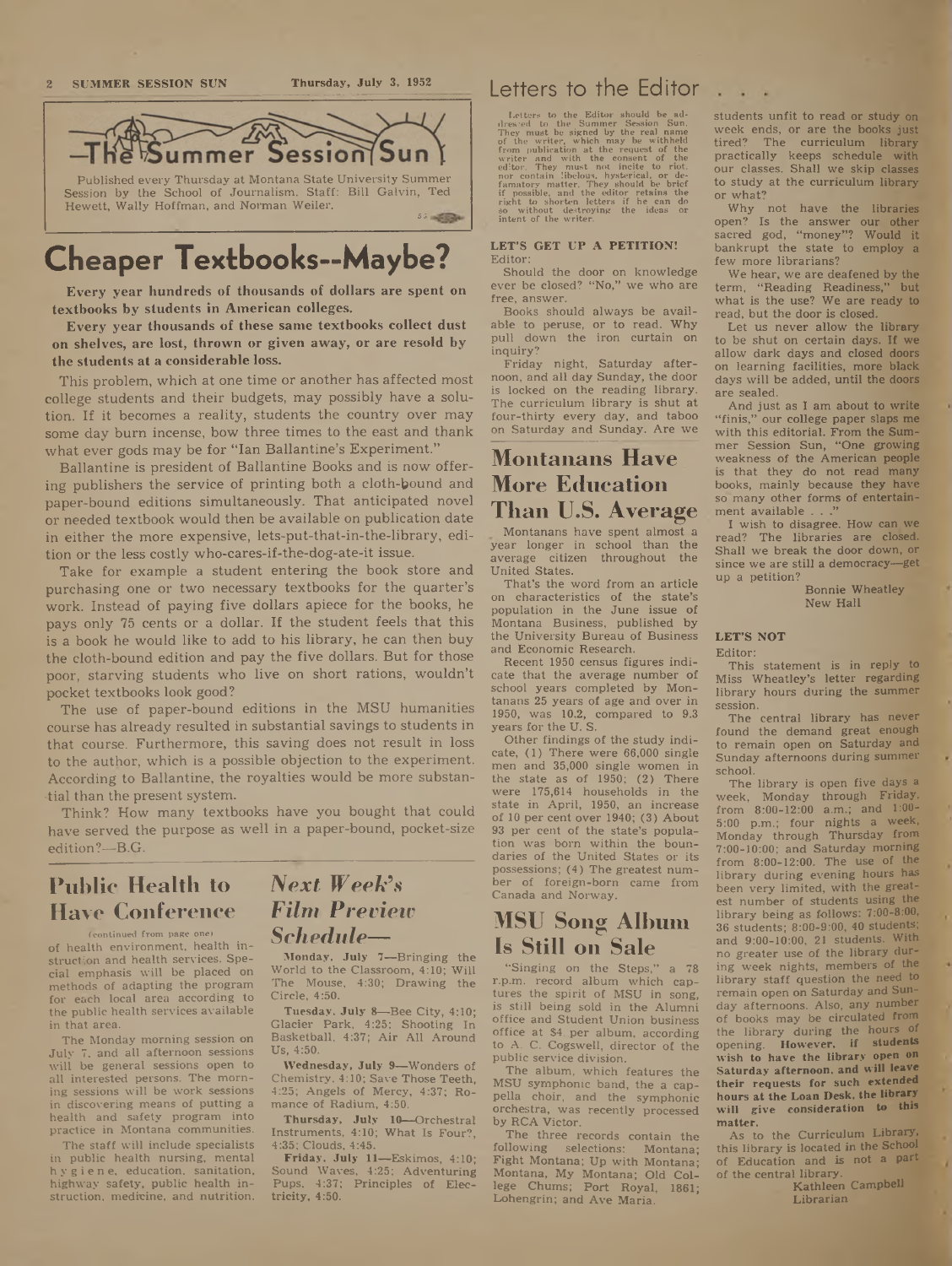

# **Cheaper Textbooks—Maybe?**

Every year hundreds of thousands of dollars are spent on textbooks by students in American colleges.

Every year thousands of these same textbooks collect dust on shelves, are lost, thrown or given away, or are resold by the students at a considerable loss.

This problem, which at one time or another has affected most college students and their budgets, may possibly have a solution. If it becomes a reality, students the country over may some day burn incense, bow three times to the east and thank what ever gods may be for "Ian Ballantine's Experiment."

Ballantine is president of Ballantine Books and is now offering publishers the service of printing both a cloth-bound and paper-bound editions simultaneously. That anticipated novel or needed textbook would then be available on publication date in either the more expensive, lets-put-that-in-the-library, edition or the less costly who-cares-if-the-dog-ate-it issue.

Take for example a student entering the book store and purchasing one or two necessary textbooks for the quarter's work. Instead of paying five dollars apiece for the books, he pays only 75 cents or a dollar. If the student feels that this is a book he would like to add to his library, he can then buy the cloth-bound edition and pay the five dollars. But for those poor, starving students who live on short rations, wouldn't pocket textbooks look good?

The use of paper-bound editions in the MSU humanities course has already resulted in substantial savings to students in that course. Furthermore, this saving does not result in loss to the author, which is a possible objection to the experiment. According to Ballantine, the royalties would be more substantial than the present system.

Think? How many textbooks have you bought that could have served the purpose as well in a paper-bound, pocket-size edition?—B.G.

# **Public Health to** *INext Week's* **Have Conference**

(continued from page one) of health environment, health instruction and health services. Special emphasis will be placed on methods of adapting the program for each local area according to the public health services available in that area.

The Monday morning session on July 7, and all afternoon sessions will be general sessions open to all interested persons. The morning sessions will be work sessions in discovering means of putting a health and safety program into practice in Montana communities.

The staff will include specialists in public health nursing, mental hygiene, education, sanitation, highway safety, public health instruction, medicine, and nutrition.

# *Film Preview*

*Schedule*—<br>Monday, July 7—Bringing the World to the Classroom, 4:10; Will The Mouse, 4:30; Drawing the Circle, 4:50.

Tuesday, July <sup>8</sup>—Bee City, 4:10; Glacier Park, 4:25; Shooting In Basketball, 4:37; Air All Around Us, 4:50.

**Wednesday, July 9—**Wonders of Chemistry, 4:10; Save Those Teeth, 4:25; Angels of Mercy, 4:37; Romance of Radium, 4:50.

**Thursday, July 10—**Orchestral Instruments, 4:10; What Is Four?, 4:35; Clouds, 4:45.

**Friday, July 11—**Eskimos, 4:10; Sound Waves, 4:25; Adventuring Pups, 4:37; Principles of Electricity, 4:50.

### Letters to the Editor

Letters to the Editor should be ad-<br>dress'ed to the Summer Session Sun.<br>They must be signed by the real name<br>of the writer, which may be witheled<br>form publication at the request of the<br>editor. They must not include to riot

#### **LET'S GET UP A PETITION!** Editor:

Should the door on knowledge ever be closed? "No," we who are free, answer.

Books should always be available to peruse, or to read. Why pull down the iron curtain on inquiry?

Friday night, Saturday afternoon, and all day Sunday, the door is locked on the reading library. The curriculum library is shut at four-thirty every day, and taboo on Saturday and Sunday. Are we

### **Montanans Have More Education Than U.S. Average**

Montanans have spent almost a year longer in school than the average citizen throughout the United States.

That's the word from an article on characteristics of the state's population in the June issue of Montana Business, published by the University Bureau of Business and Economic Research.

Recent 1950 census figures indicate that the average number of school years completed by Montanans 25 years of age and over in 1950, was 10.2, compared to 9.3 years for the U. S.

Other findings of the study indicate, (1) There were 66,000 single men and 35,000 single women in the state as of 1950; (2) There were 175,614 households in the state in April, 1950, an increase of 10 per cent over 1940; (3) About 93 per cent of the state's population was born within the boundaries of the United States or its possessions; (4) The greatest number of foreign-born came from Canada and Norway.

### **MSU Song Album Is Still on Sale**

"Singing on the Steps," a 78 r.p.m. record album which captures the spirit of MSU in song, is still being sold in the Alumni office and Student Union business office at \$4\_per album, according to A. C. Cogswell, director of the public service division.

The album, which features the MSU symphonic band, the a cappella choir, and the symphonic orchestra, was recently processed by RCA Victor.

The three records contain the<br>llowing selections: Montana: following selections: Fight Montana; Up with Montana; Montana, My Montana; Old Col-lege Chums; Port Royal, 1861; Lohengrin; and Ave Maria.

students unfit to read or study on week ends, or are the books just tired? The curriculum library practically keeps schedule with our classes. Shall we skip classes to study at the curriculum library or what<sup>7</sup>

 $\cdots$ 

Why not have the libraries open? Is the answer our other sacred god, "money"? Would it bankrupt the state to employ a few more librarians?

We hear, we are deafened by the term, "Reading Readiness," but what is the use? We are ready to read, but the door is closed;

Let us never allow the library to be shut on certain days. If we allow dark days and closed doors on learning facilities, more black days will be added, until the doors are sealed.

And just as I am about to write "finis," our college paper slaps me with this editorial. From **the Sum**mer Session Sun, "One growing weakness of the American people is that they do not read **many** books, mainly because they have so' many other forms of entertainment available . .

I wish to disagree. How can we read? The libraries are closed. Shall we break the door down, or since we are still a democracy—get up a petition?

Bonnie Wheatley New Hall

### **LET'S NOT**

Editor:

This statement is in reply to Miss Wheatley's letter regarding library hours during the summer session.

The central library has never found the demand great enough to remain open on Saturday and Sunday afternoons during summer school.

The library is open five days a week, Monday through Friday, from 8:00-12:00 a.m.; and 1:00- 5:00 p.m.; four nights a week, Monday through Thursday from 7:00-10:00; and Saturday morning from 8:00-12:00. **The use of the** library during evening hours has been very limited, with the greatest number of students using the library being as follows: 7:00-8:00, 36 students; 8:00-9:00, 40 students; and 9:00-10:00, 21 students. With no greater use of the library during week nights, members of the library staff question the **need to** remain open on Saturday and Sunday afternoons. Also, any number of books may be circulated from the library during the hours of opening. **However, if students wish to have the library open on Saturday afternoon, and will leave their requests for such extended hours at the Loan Desk, the library will give consideration to this matter.**

As to the Curriculum Library, this library is located in the **School** of Education and is not a part of the central library.

Kathleen Campbell Librarian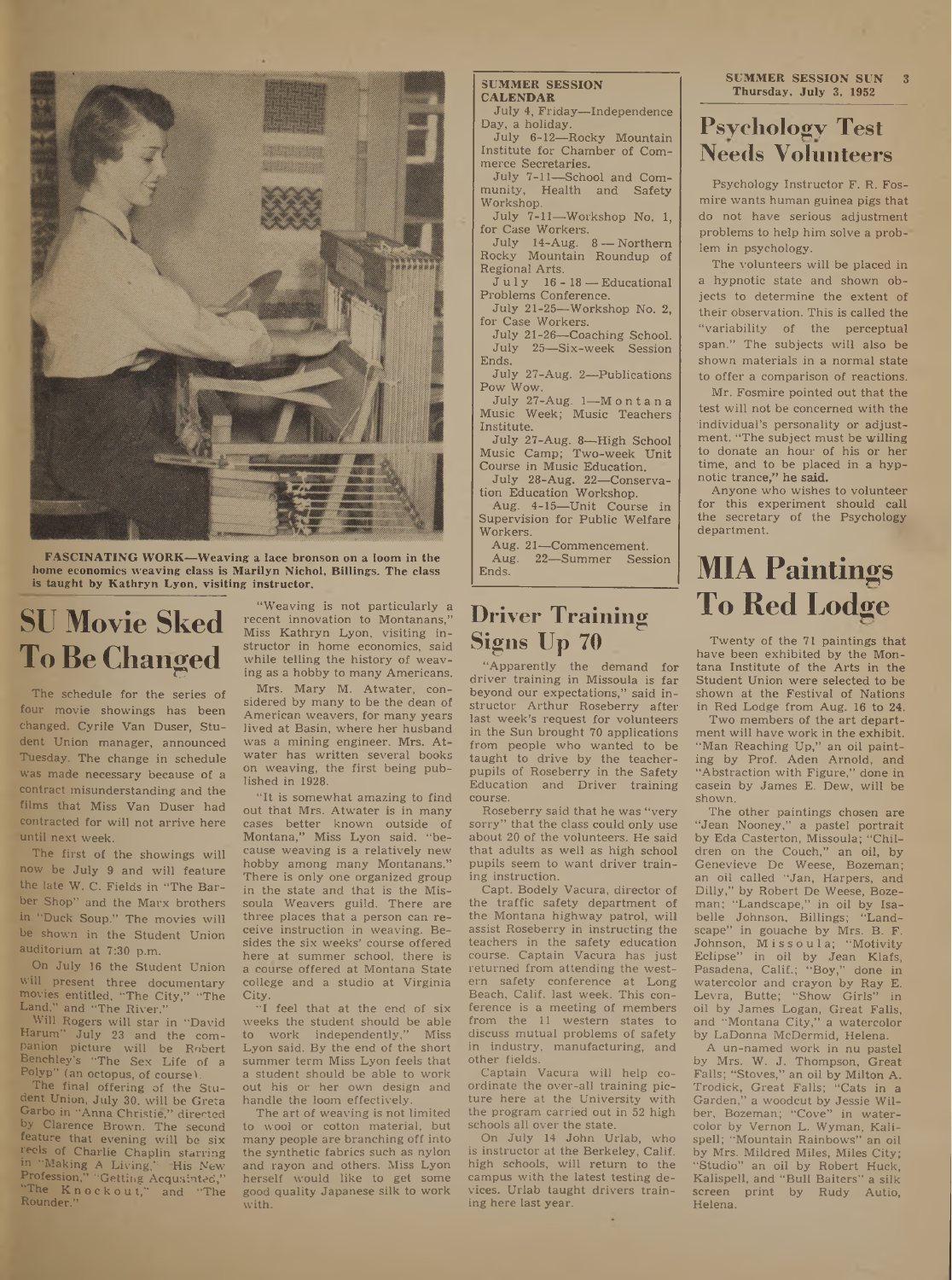

**FASCINATING WORK—Weaving a lace bronson on a loom in the home economics weaving class is Marilyn Nichol, Billings. The class is taught by Kathryn Lyon, visiting instructor.**

# **SU Movie Sked To Be Changed**

The schedule for the series of four movie showings has been changed, Cyrile Van Duser, Student Union manager, announced Tuesday. The change in schedule was made necessary because of a contract misunderstanding and the films that Miss Van Duser had contracted for will not arrive here 'until next week.

The first of the showings will now be July 9 and will feature the late W. C. Fields in "The Barber Shop" and the Marx brothers in "Duck Soup." The movies will be shown in the Student Union auditorium at 7:30 p.m.

On July 16 the Student Union will present three documentary movies entitled, "The City," "The Land," and "The River."

Will Rogers will star in "David Harum" July 23 and the companion picture will be Robert Benchley's "The Sex Life of a Polyp" (an octopus, of course).

The final offering of the Student Union, July 30, will be Greta Garbo in "Anna Christie," directed by Clarence Brown. The second feature that evening will be six reels of Charlie Chaplin starring in "Making A Living," His New Profession," "Getting Acquainted," "The Knockout," and "The Rounder."

"Weaving is not particularly a recent innovation to Montanans," Miss Kathryn Lyon, visiting instructor in home economics, said while telling the history of weaving as a hobby to many Americans.

Mrs. Mary M. Atwater, considered by many to be the dean of American weavers, for many years lived at Basin, where her husband was a mining engineer. Mrs. Atwater has written several books on weaving, the first being published in 1928.

"It is somewhat amazing to find out that Mrs; Atwater is in many cases better known outside of Montana," Miss Lyon said, "because weaving is a relatively new hobby among many Montanans." There is only one organized group in the state and that is the Missoula Weavers guild. There are three places that a person can receive instruction in weaving. Besides the six weeks' course offered here at summer school, there is a course offered at Montana State college and a studio at Virginia City.

"I feel that at the end of six weeks the student should be able<br>to work independently." Miss to work independently," Lyon said. By the end of the short summer term Miss Lyon feels that a student should be able to work out his or her own design and handle the loom effectively.

The art of weaving is not limited to wool or cotton material, but many people are branching off into the synthetic fabrics such as nylon and rayon and others. Miss Lyon herself would like to get some good quality Japanese silk to work with.

#### **SUMMER SESSION CALENDAR**

July 4, Friday—Independence Day, a holiday.

July 6-12—Rocky Mountain Institute for Chamber of Commerce Secretaries.

July 7-11—School and Community, Health and Safety Workshop.

July 7-11—Workshop No. 1, for Case Workers.

July 14-Aug. 8 — Northern Rocky Mountain Roundup of Regional Arts.

 $J$ uly 16 - 18 — Educational Problems Conference.

July 21-25—Workshop No. 2, for Case Workers.

July 21-26—Coaching School. July 25—Six-week Session Ends.

July 27-Aug. 2—Publications Pow Wow.

July 27-Aug. <sup>1</sup>—<sup>M</sup> <sup>o</sup> n t a n <sup>a</sup> Music Week; Music Teachers Institute.

July 27-Aug. 8—High School Music Camp; Two-week Unit Course in Music Education.

.July 28-Aug. 22—Conservation Education Workshop.

Aug. 4-15—Unit Course in Supervision for Public Welfare Workers.

Aug. 21—Commencement.<br>Aug. 22—Summer Sess 22—Summer Session Ends.

# **Driver Training Signs Up 70**

"Apparently the demand for driver training in Missoula is far beyond our expectations," said instructor Arthur Roseberry after last week's request for volunteers in the Sun brought 70 applications from people who wanted to be taught to drive by the teacherpupils of Roseberry in the Safety Education and Driver training course.

Roseberry said that he was "very sorry" that the class could only use about 20 of the volunteers. He said that adults as well as high school pupils seem to want driver training instruction.

Capt. Bodely Vacura, director of the traffic safety department of the Montana highway patrol, will assist Roseberry in instructing the teachers in the safety education course. Captain Vacura has just returned from attending the western safety conference at Long Beach, Calif, last week. This conference is a meeting of members from the 11 western states to discuss mutual problems of safety in industry, manufacturing, and other fields.

Captain Vacura will help coordinate the over-all training picture here at the University with the program carried out in 52 high schools all over the state.

On July 14 John Urlab, who is instructor at the Berkeley, Calif, high schools, will return to the campus with the latest testing devices. Urlab taught drivers training here last year.

**SUMMER SESSION SUN 3 Thursday, July 3, 1952**

### **Psychology Test Needs Volunteers**

Psychology Instructor F. R. Fosmire wants human guinea pigs that do not have serious adjustment problems to help him solve a prob-' lem in psychology.

The volunteers will be placed in a hypnotic state and shown objects to determine the extent of their observation. This is called the "variability of the perceptual span." The subjects will also be shown materials in a normal state to offer a comparison of reactions.

Mr. Fosmire pointed out that the test will not be concerned with the individual's personality or adjustment. "The subject must be willing to donate an hour of his or her time, and to be placed in a hypnotic trance," he said.

Anyone who wishes to volunteer for this experiment should call the secretary of the Psychology department.

# **MIA Paintings To Red Lodge**

Twenty of the 71 paintings that have been exhibited by the Montana Institute of the Arts in the Student Union were selected to be shown at the Festival of Nations in Red Lodge from Aug. 16 to 24,

Two members of the art department will have work in the exhibit. "Man Reaching Up," an oil painting by Prof. Aden Arnold, and "Abstraction with Figure," done in casein by James E. Dew, will be shown.

The other paintings chosen are "Jean Nooney," a pastel portrait by Eda Casterton, Missoula; "Children on the Couch," an oil, by Genevieve De Weese, Bozeman; an oil called "Jan, Harpers, and Dilly," by Robert De Weese, Bozeman; "Landscape," in oil by Isabelle Johnson, Billings; "Landscape" in gouache by Mrs. B. F. Johnson, Missoula; "Motivity Eclipse" in oil by Jean Klafs, Pasadena, Calif.; "Boy," done in watercolor and crayon by Ray E. Levra, Butte; "Show Girls" in oil by James Logan, Great Falls, and "Montana City," a watercolor by LaDonna McDermid, Helena.

A un-named work in nu pastel by Mrs. W. J. Thompson, Great Falls; "Stoves," an oil by Milton A. Trodick, Great Falls; "Cats in a Garden," a woodcut by Jessie Wilber, Bozeman; "Cove" in watercolor by Vernon L. Wyman, Kalispell; "Mountain Rainbows" an oil by Mrs. Mildred Miles, Miles City; "Studio" an oil by Robert Huck, Kalispell, and "Bull Baiters" a silk screen print by Rudy Autio, Helena.